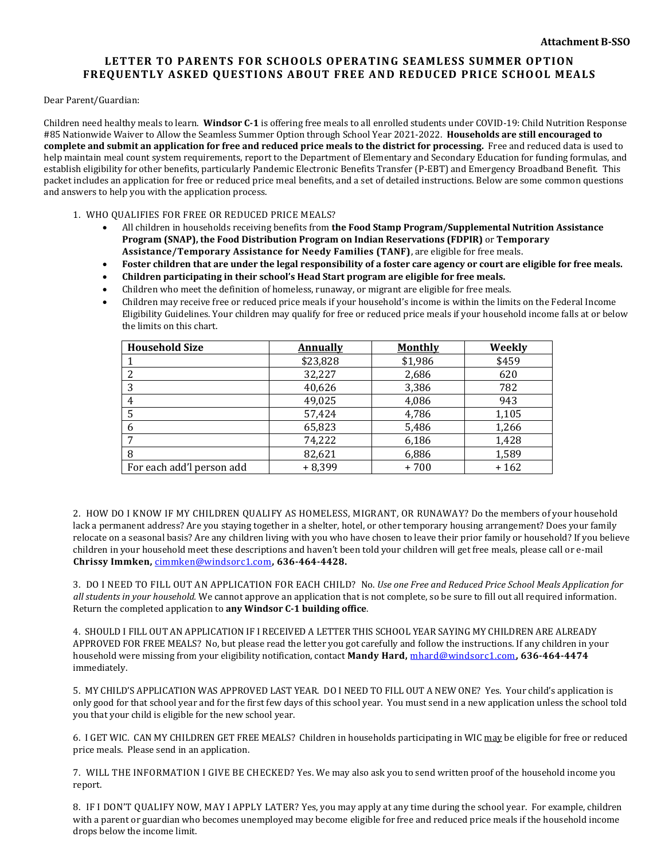## **LETTER TO PARENTS FOR SCHOOLS OPERATING SEAMLESS SUMMER OPTION FREQUENTLY ASKED QUESTIONS ABOUT FREE AND REDUCED PRICE SCHOOL MEALS**

Dear Parent/Guardian:

Children need healthy meals to learn. **Windsor C-1** is offering free meals to all enrolled students under COVID-19: Child Nutrition Response #85 Nationwide Waiver to Allow the Seamless Summer Option through School Year 2021-2022. **Households are still encouraged to complete and submit an application for free and reduced price meals to the district for processing.** Free and reduced data is used to help maintain meal count system requirements, report to the Department of Elementary and Secondary Education for funding formulas, and establish eligibility for other benefits, particularly Pandemic Electronic Benefits Transfer (P-EBT) and Emergency Broadband Benefit. This packet includes an application for free or reduced price meal benefits, and a set of detailed instructions. Below are some common questions and answers to help you with the application process.

1. WHO QUALIFIES FOR FREE OR REDUCED PRICE MEALS?

- All children in households receiving benefits from **the Food Stamp Program/Supplemental Nutrition Assistance Program (SNAP), the Food Distribution Program on Indian Reservations (FDPIR)** or **Temporary Assistance/Temporary Assistance for Needy Families (TANF)**, are eligible for free meals.
- **Foster children that are under the legal responsibility of a foster care agency or court are eligible for free meals.**
- **Children participating in their school's Head Start program are eligible for free meals.**
- Children who meet the definition of homeless, runaway, or migrant are eligible for free meals.
- Children may receive free or reduced price meals if your household's income is within the limits on the Federal Income Eligibility Guidelines. Your children may qualify for free or reduced price meals if your household income falls at or below the limits on this chart.

| <b>Household Size</b>     | Annually | <b>Monthly</b> | Weekly |
|---------------------------|----------|----------------|--------|
|                           | \$23,828 | \$1,986        | \$459  |
| 2                         | 32,227   | 2,686          | 620    |
| 3                         | 40,626   | 3,386          | 782    |
| $\overline{4}$            | 49,025   | 4,086          | 943    |
| -5                        | 57,424   | 4,786          | 1,105  |
| -6                        | 65,823   | 5,486          | 1,266  |
| $\mathbf{r}$              | 74,222   | 6,186          | 1,428  |
| 8                         | 82,621   | 6,886          | 1,589  |
| For each add'l person add | $+8,399$ | +700           | $+162$ |

2. HOW DO I KNOW IF MY CHILDREN QUALIFY AS HOMELESS, MIGRANT, OR RUNAWAY? Do the members of your household lack a permanent address? Are you staying together in a shelter, hotel, or other temporary housing arrangement? Does your family relocate on a seasonal basis? Are any children living with you who have chosen to leave their prior family or household? If you believe children in your household meet these descriptions and haven't been told your children will get free meals, please call or e-mail **Chrissy Immken,** [cimmken@windsorc1.com](mailto:cimmken@windsorc1.com)**, 636-464-4428.**

3. DO I NEED TO FILL OUT AN APPLICATION FOR EACH CHILD? No. *Use one Free and Reduced Price School Meals Application for all students in your household.* We cannot approve an application that is not complete, so be sure to fill out all required information. Return the completed application to **any Windsor C-1 building office**.

4. SHOULD I FILL OUT AN APPLICATION IF I RECEIVED A LETTER THIS SCHOOL YEAR SAYING MY CHILDREN ARE ALREADY APPROVED FOR FREE MEALS? No, but please read the letter you got carefully and follow the instructions. If any children in your household were missing from your eligibility notification, contact **Mandy Hard,** [mhard@windsorc1.com](mailto:mhard@windsorc1.com)**, 636-464-4474** immediately.

5. MY CHILD'S APPLICATION WAS APPROVED LAST YEAR. DO I NEED TO FILL OUT A NEW ONE? Yes. Your child's application is only good for that school year and for the first few days of this school year. You must send in a new application unless the school told you that your child is eligible for the new school year.

6. I GET WIC. CAN MY CHILDREN GET FREE MEALS? Children in households participating in WIC may be eligible for free or reduced price meals. Please send in an application.

7. WILL THE INFORMATION I GIVE BE CHECKED? Yes. We may also ask you to send written proof of the household income you report.

8. IF I DON'T QUALIFY NOW, MAY I APPLY LATER? Yes, you may apply at any time during the school year. For example, children with a parent or guardian who becomes unemployed may become eligible for free and reduced price meals if the household income drops below the income limit.